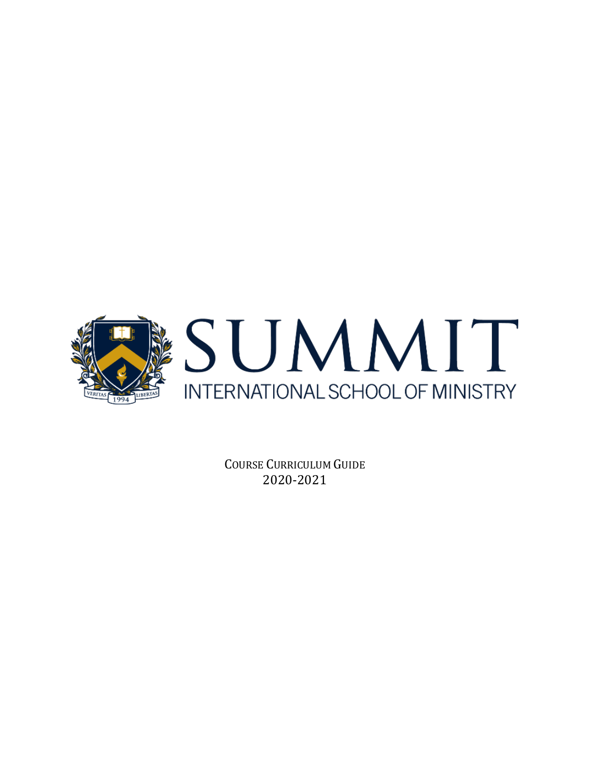

COURSE CURRICULUM GUIDE 2020-2021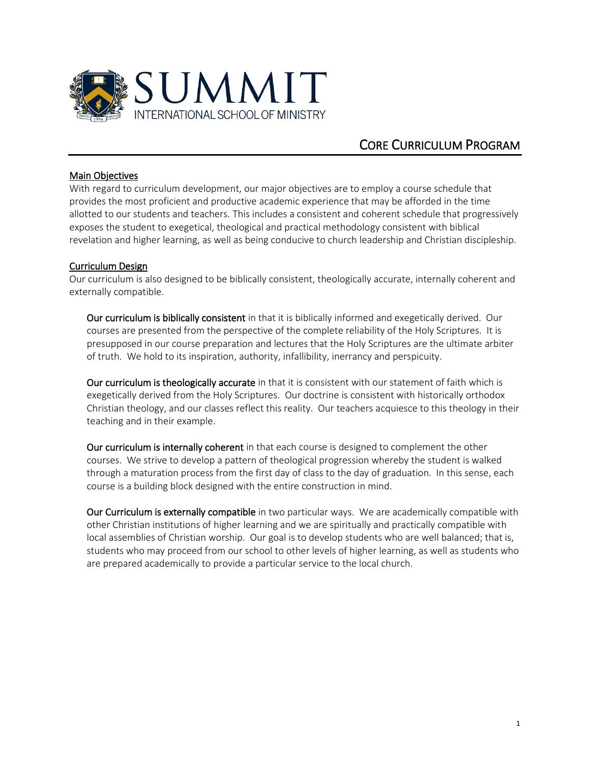

# CORE CURRICULUM PROGRAM

#### Main Objectives

With regard to curriculum development, our major objectives are to employ a course schedule that provides the most proficient and productive academic experience that may be afforded in the time allotted to our students and teachers. This includes a consistent and coherent schedule that progressively exposes the student to exegetical, theological and practical methodology consistent with biblical revelation and higher learning, as well as being conducive to church leadership and Christian discipleship.

### Curriculum Design

Our curriculum is also designed to be biblically consistent, theologically accurate, internally coherent and externally compatible.

Our curriculum is biblically consistent in that it is biblically informed and exegetically derived. Our courses are presented from the perspective of the complete reliability of the Holy Scriptures. It is presupposed in our course preparation and lectures that the Holy Scriptures are the ultimate arbiter of truth. We hold to its inspiration, authority, infallibility, inerrancy and perspicuity.

Our curriculum is theologically accurate in that it is consistent with our statement of faith which is exegetically derived from the Holy Scriptures. Our doctrine is consistent with historically orthodox Christian theology, and our classes reflect this reality. Our teachers acquiesce to this theology in their teaching and in their example.

Our curriculum is internally coherent in that each course is designed to complement the other courses. We strive to develop a pattern of theological progression whereby the student is walked through a maturation process from the first day of class to the day of graduation. In this sense, each course is a building block designed with the entire construction in mind.

Our Curriculum is externally compatible in two particular ways. We are academically compatible with other Christian institutions of higher learning and we are spiritually and practically compatible with local assemblies of Christian worship. Our goal is to develop students who are well balanced; that is, students who may proceed from our school to other levels of higher learning, as well as students who are prepared academically to provide a particular service to the local church.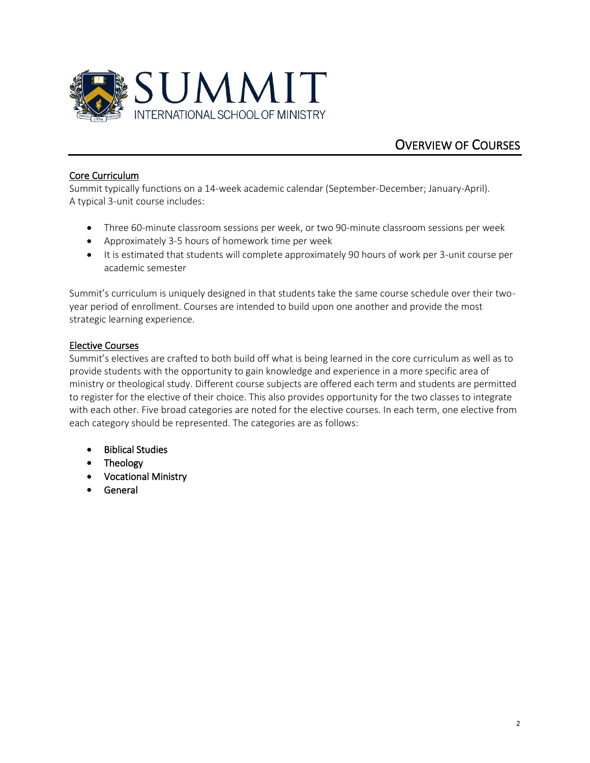

# OVERVIEW OF COURSES

### Core Curriculum

Summit typically functions on a 14-week academic calendar (September-December; January-April). A typical 3-unit course includes:

- Three 60-minute classroom sessions per week, or two 90-minute classroom sessions per week
- Approximately 3-5 hours of homework time per week
- It is estimated that students will complete approximately 90 hours of work per 3-unit course per academic semester

Summit's curriculum is uniquely designed in that students take the same course schedule over their twoyear period of enrollment. Courses are intended to build upon one another and provide the most strategic learning experience.

### Elective Courses

Summit's electives are crafted to both build off what is being learned in the core curriculum as well as to provide students with the opportunity to gain knowledge and experience in a more specific area of ministry or theological study. Different course subjects are offered each term and students are permitted to register for the elective of their choice. This also provides opportunity for the two classes to integrate with each other. Five broad categories are noted for the elective courses. In each term, one elective from each category should be represented. The categories are as follows:

- Biblical Studies
- Theology
- Vocational Ministry
- **General**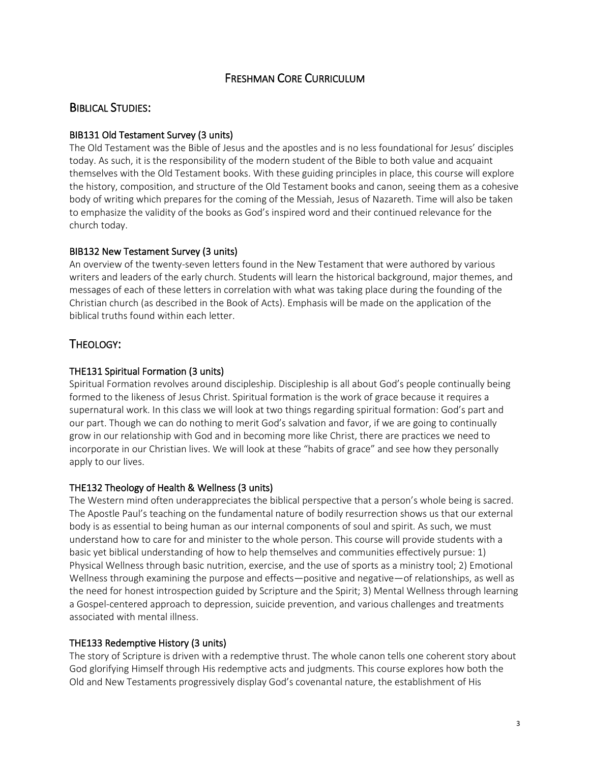## FRESHMAN CORE CURRICULUM

### BIBLICAL STUDIES:

#### BIB131 Old Testament Survey (3 units)

The Old Testament was the Bible of Jesus and the apostles and is no less foundational for Jesus' disciples today. As such, it is the responsibility of the modern student of the Bible to both value and acquaint themselves with the Old Testament books. With these guiding principles in place, this course will explore the history, composition, and structure of the Old Testament books and canon, seeing them as a cohesive body of writing which prepares for the coming of the Messiah, Jesus of Nazareth. Time will also be taken to emphasize the validity of the books as God's inspired word and their continued relevance for the church today.

#### BIB132 New Testament Survey (3 units)

An overview of the twenty-seven letters found in the New Testament that were authored by various writers and leaders of the early church. Students will learn the historical background, major themes, and messages of each of these letters in correlation with what was taking place during the founding of the Christian church (as described in the Book of Acts). Emphasis will be made on the application of the biblical truths found within each letter.

## THEOLOGY:

### THE131 Spiritual Formation (3 units)

Spiritual Formation revolves around discipleship. Discipleship is all about God's people continually being formed to the likeness of Jesus Christ. Spiritual formation is the work of grace because it requires a supernatural work. In this class we will look at two things regarding spiritual formation: God's part and our part. Though we can do nothing to merit God's salvation and favor, if we are going to continually grow in our relationship with God and in becoming more like Christ, there are practices we need to incorporate in our Christian lives. We will look at these "habits of grace" and see how they personally apply to our lives.

### THE132 Theology of Health & Wellness (3 units)

The Western mind often underappreciates the biblical perspective that a person's whole being is sacred. The Apostle Paul's teaching on the fundamental nature of bodily resurrection shows us that our external body is as essential to being human as our internal components of soul and spirit. As such, we must understand how to care for and minister to the whole person. This course will provide students with a basic yet biblical understanding of how to help themselves and communities effectively pursue: 1) Physical Wellness through basic nutrition, exercise, and the use of sports as a ministry tool; 2) Emotional Wellness through examining the purpose and effects—positive and negative—of relationships, as well as the need for honest introspection guided by Scripture and the Spirit; 3) Mental Wellness through learning a Gospel-centered approach to depression, suicide prevention, and various challenges and treatments associated with mental illness.

#### THE133 Redemptive History (3 units)

The story of Scripture is driven with a redemptive thrust. The whole canon tells one coherent story about God glorifying Himself through His redemptive acts and judgments. This course explores how both the Old and New Testaments progressively display God's covenantal nature, the establishment of His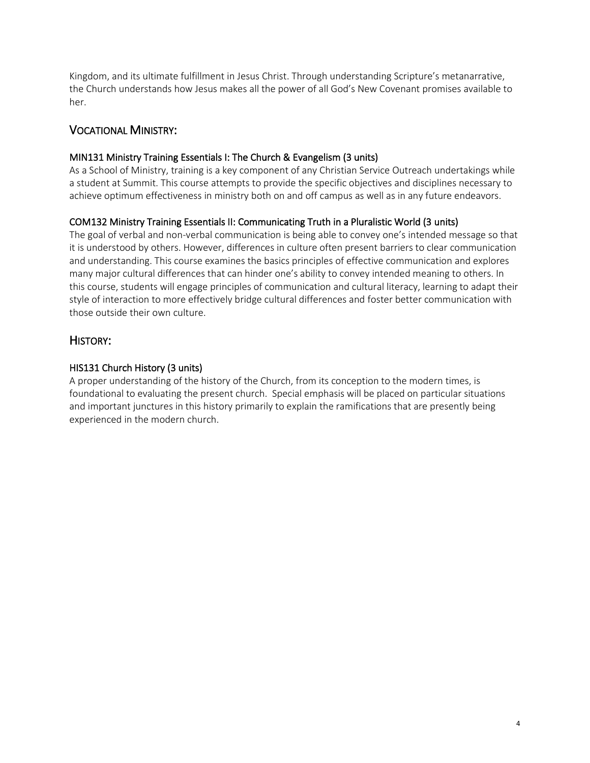Kingdom, and its ultimate fulfillment in Jesus Christ. Through understanding Scripture's metanarrative, the Church understands how Jesus makes all the power of all God's New Covenant promises available to her.

### VOCATIONAL MINISTRY:

### MIN131 Ministry Training Essentials I: The Church & Evangelism (3 units)

As a School of Ministry, training is a key component of any Christian Service Outreach undertakings while a student at Summit. This course attempts to provide the specific objectives and disciplines necessary to achieve optimum effectiveness in ministry both on and off campus as well as in any future endeavors.

### COM132 Ministry Training Essentials II: Communicating Truth in a Pluralistic World (3 units)

The goal of verbal and non-verbal communication is being able to convey one's intended message so that it is understood by others. However, differences in culture often present barriers to clear communication and understanding. This course examines the basics principles of effective communication and explores many major cultural differences that can hinder one's ability to convey intended meaning to others. In this course, students will engage principles of communication and cultural literacy, learning to adapt their style of interaction to more effectively bridge cultural differences and foster better communication with those outside their own culture.

## HISTORY:

### HIS131 Church History (3 units)

A proper understanding of the history of the Church, from its conception to the modern times, is foundational to evaluating the present church. Special emphasis will be placed on particular situations and important junctures in this history primarily to explain the ramifications that are presently being experienced in the modern church.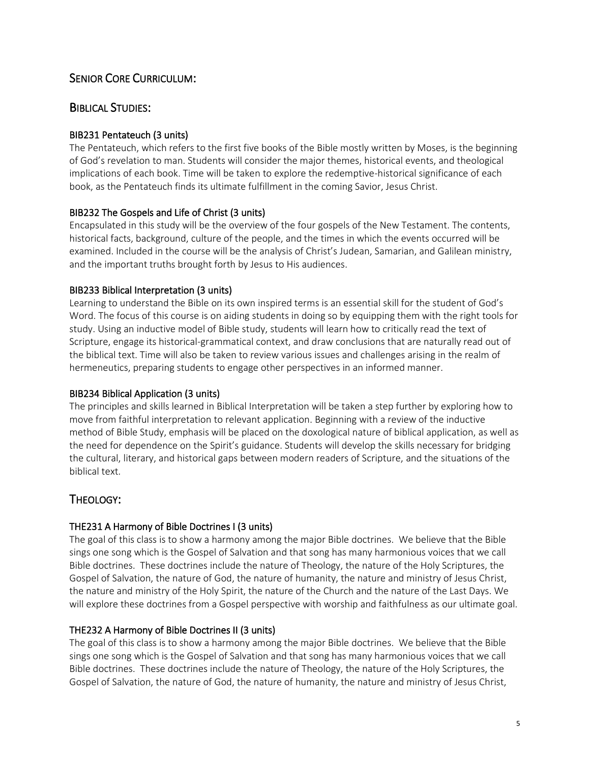## SENIOR CORE CURRICULUM:

## BIBLICAL STUDIES:

### BIB231 Pentateuch (3 units)

The Pentateuch, which refers to the first five books of the Bible mostly written by Moses, is the beginning of God's revelation to man. Students will consider the major themes, historical events, and theological implications of each book. Time will be taken to explore the redemptive-historical significance of each book, as the Pentateuch finds its ultimate fulfillment in the coming Savior, Jesus Christ.

### BIB232 The Gospels and Life of Christ (3 units)

Encapsulated in this study will be the overview of the four gospels of the New Testament. The contents, historical facts, background, culture of the people, and the times in which the events occurred will be examined. Included in the course will be the analysis of Christ's Judean, Samarian, and Galilean ministry, and the important truths brought forth by Jesus to His audiences.

### BIB233 Biblical Interpretation (3 units)

Learning to understand the Bible on its own inspired terms is an essential skill for the student of God's Word. The focus of this course is on aiding students in doing so by equipping them with the right tools for study. Using an inductive model of Bible study, students will learn how to critically read the text of Scripture, engage its historical-grammatical context, and draw conclusions that are naturally read out of the biblical text. Time will also be taken to review various issues and challenges arising in the realm of hermeneutics, preparing students to engage other perspectives in an informed manner.

### BIB234 Biblical Application (3 units)

The principles and skills learned in Biblical Interpretation will be taken a step further by exploring how to move from faithful interpretation to relevant application. Beginning with a review of the inductive method of Bible Study, emphasis will be placed on the doxological nature of biblical application, as well as the need for dependence on the Spirit's guidance. Students will develop the skills necessary for bridging the cultural, literary, and historical gaps between modern readers of Scripture, and the situations of the biblical text.

## THEOLOGY:

### THE231 A Harmony of Bible Doctrines I (3 units)

The goal of this class is to show a harmony among the major Bible doctrines. We believe that the Bible sings one song which is the Gospel of Salvation and that song has many harmonious voices that we call Bible doctrines. These doctrines include the nature of Theology, the nature of the Holy Scriptures, the Gospel of Salvation, the nature of God, the nature of humanity, the nature and ministry of Jesus Christ, the nature and ministry of the Holy Spirit, the nature of the Church and the nature of the Last Days. We will explore these doctrines from a Gospel perspective with worship and faithfulness as our ultimate goal.

### THE232 A Harmony of Bible Doctrines II (3 units)

The goal of this class is to show a harmony among the major Bible doctrines. We believe that the Bible sings one song which is the Gospel of Salvation and that song has many harmonious voices that we call Bible doctrines. These doctrines include the nature of Theology, the nature of the Holy Scriptures, the Gospel of Salvation, the nature of God, the nature of humanity, the nature and ministry of Jesus Christ,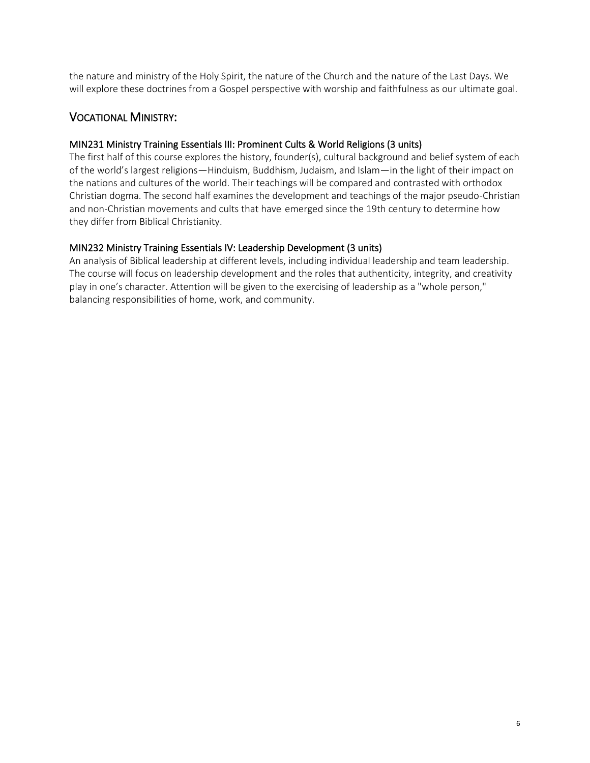the nature and ministry of the Holy Spirit, the nature of the Church and the nature of the Last Days. We will explore these doctrines from a Gospel perspective with worship and faithfulness as our ultimate goal.

### VOCATIONAL MINISTRY:

### MIN231 Ministry Training Essentials III: Prominent Cults & World Religions (3 units)

The first half of this course explores the history, founder(s), cultural background and belief system of each of the world's largest religions—Hinduism, Buddhism, Judaism, and Islam—in the light of their impact on the nations and cultures of the world. Their teachings will be compared and contrasted with orthodox Christian dogma. The second half examines the development and teachings of the major pseudo-Christian and non-Christian movements and cults that have emerged since the 19th century to determine how they differ from Biblical Christianity.

### MIN232 Ministry Training Essentials IV: Leadership Development (3 units)

An analysis of Biblical leadership at different levels, including individual leadership and team leadership. The course will focus on leadership development and the roles that authenticity, integrity, and creativity play in one's character. Attention will be given to the exercising of leadership as a "whole person," balancing responsibilities of home, work, and community.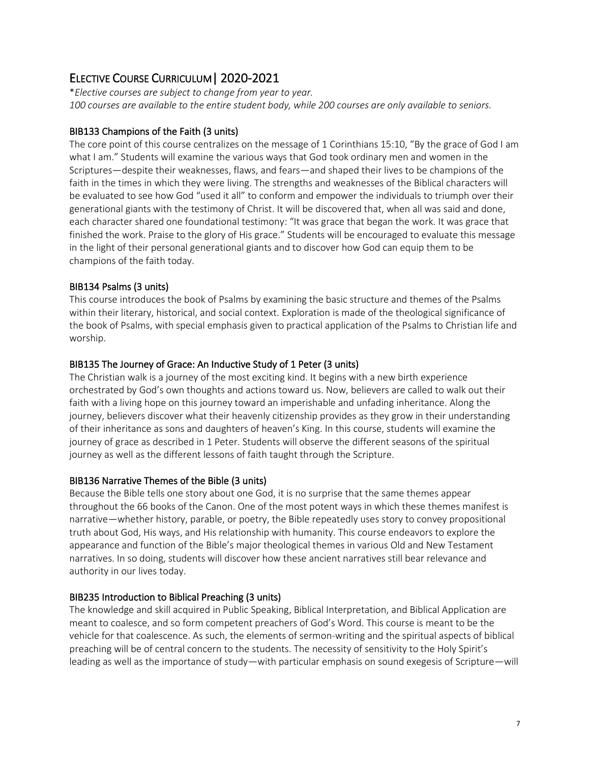# ELECTIVE COURSE CURRICULUM| 2020-2021

\**Elective courses are subject to change from year to year. 100 courses are available to the entire student body, while 200 courses are only available to seniors.*

### BIB133 Champions of the Faith (3 units)

The core point of this course centralizes on the message of 1 Corinthians 15:10, "By the grace of God I am what I am." Students will examine the various ways that God took ordinary men and women in the Scriptures—despite their weaknesses, flaws, and fears—and shaped their lives to be champions of the faith in the times in which they were living. The strengths and weaknesses of the Biblical characters will be evaluated to see how God "used it all" to conform and empower the individuals to triumph over their generational giants with the testimony of Christ. It will be discovered that, when all was said and done, each character shared one foundational testimony: "It was grace that began the work. It was grace that finished the work. Praise to the glory of His grace." Students will be encouraged to evaluate this message in the light of their personal generational giants and to discover how God can equip them to be champions of the faith today.

### BIB134 Psalms (3 units)

This course introduces the book of Psalms by examining the basic structure and themes of the Psalms within their literary, historical, and social context. Exploration is made of the theological significance of the book of Psalms, with special emphasis given to practical application of the Psalms to Christian life and worship.

### BIB135 The Journey of Grace: An Inductive Study of 1 Peter (3 units)

The Christian walk is a journey of the most exciting kind. It begins with a new birth experience orchestrated by God's own thoughts and actions toward us. Now, believers are called to walk out their faith with a living hope on this journey toward an imperishable and unfading inheritance. Along the journey, believers discover what their heavenly citizenship provides as they grow in their understanding of their inheritance as sons and daughters of heaven's King. In this course, students will examine the journey of grace as described in 1 Peter. Students will observe the different seasons of the spiritual journey as well as the different lessons of faith taught through the Scripture.

### BIB136 Narrative Themes of the Bible (3 units)

Because the Bible tells one story about one God, it is no surprise that the same themes appear throughout the 66 books of the Canon. One of the most potent ways in which these themes manifest is narrative—whether history, parable, or poetry, the Bible repeatedly uses story to convey propositional truth about God, His ways, and His relationship with humanity. This course endeavors to explore the appearance and function of the Bible's major theological themes in various Old and New Testament narratives. In so doing, students will discover how these ancient narratives still bear relevance and authority in our lives today.

### BIB235 Introduction to Biblical Preaching (3 units)

The knowledge and skill acquired in Public Speaking, Biblical Interpretation, and Biblical Application are meant to coalesce, and so form competent preachers of God's Word. This course is meant to be the vehicle for that coalescence. As such, the elements of sermon-writing and the spiritual aspects of biblical preaching will be of central concern to the students. The necessity of sensitivity to the Holy Spirit's leading as well as the importance of study—with particular emphasis on sound exegesis of Scripture—will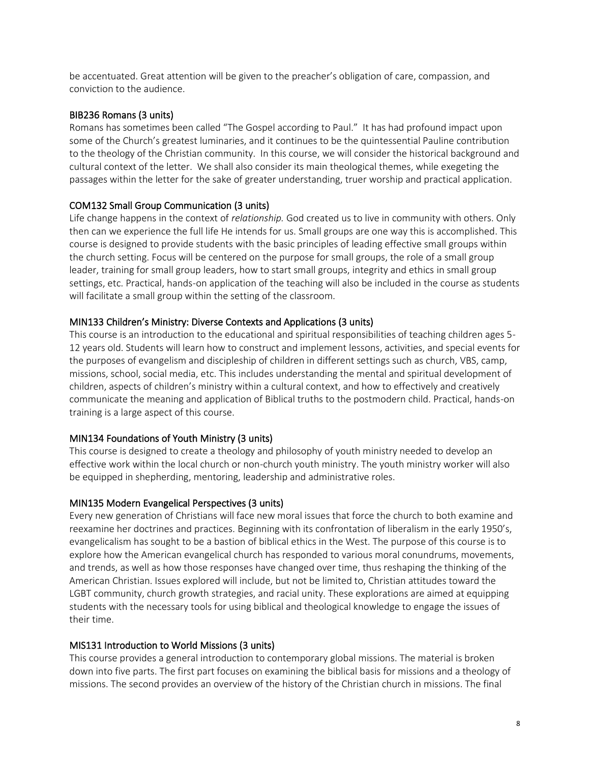be accentuated. Great attention will be given to the preacher's obligation of care, compassion, and conviction to the audience.

#### BIB236 Romans (3 units)

Romans has sometimes been called "The Gospel according to Paul." It has had profound impact upon some of the Church's greatest luminaries, and it continues to be the quintessential Pauline contribution to the theology of the Christian community. In this course, we will consider the historical background and cultural context of the letter. We shall also consider its main theological themes, while exegeting the passages within the letter for the sake of greater understanding, truer worship and practical application.

#### COM132 Small Group Communication (3 units)

Life change happens in the context of *relationship.* God created us to live in community with others. Only then can we experience the full life He intends for us. Small groups are one way this is accomplished. This course is designed to provide students with the basic principles of leading effective small groups within the church setting. Focus will be centered on the purpose for small groups, the role of a small group leader, training for small group leaders, how to start small groups, integrity and ethics in small group settings, etc. Practical, hands-on application of the teaching will also be included in the course as students will facilitate a small group within the setting of the classroom.

#### MIN133 Children's Ministry: Diverse Contexts and Applications (3 units)

This course is an introduction to the educational and spiritual responsibilities of teaching children ages 5- 12 years old. Students will learn how to construct and implement lessons, activities, and special events for the purposes of evangelism and discipleship of children in different settings such as church, VBS, camp, missions, school, social media, etc. This includes understanding the mental and spiritual development of children, aspects of children's ministry within a cultural context, and how to effectively and creatively communicate the meaning and application of Biblical truths to the postmodern child. Practical, hands-on training is a large aspect of this course.

#### MIN134 Foundations of Youth Ministry (3 units)

This course is designed to create a theology and philosophy of youth ministry needed to develop an effective work within the local church or non-church youth ministry. The youth ministry worker will also be equipped in shepherding, mentoring, leadership and administrative roles.

#### MIN135 Modern Evangelical Perspectives (3 units)

Every new generation of Christians will face new moral issues that force the church to both examine and reexamine her doctrines and practices. Beginning with its confrontation of liberalism in the early 1950's, evangelicalism has sought to be a bastion of biblical ethics in the West. The purpose of this course is to explore how the American evangelical church has responded to various moral conundrums, movements, and trends, as well as how those responses have changed over time, thus reshaping the thinking of the American Christian. Issues explored will include, but not be limited to, Christian attitudes toward the LGBT community, church growth strategies, and racial unity. These explorations are aimed at equipping students with the necessary tools for using biblical and theological knowledge to engage the issues of their time.

#### MIS131 Introduction to World Missions (3 units)

This course provides a general introduction to contemporary global missions. The material is broken down into five parts. The first part focuses on examining the biblical basis for missions and a theology of missions. The second provides an overview of the history of the Christian church in missions. The final